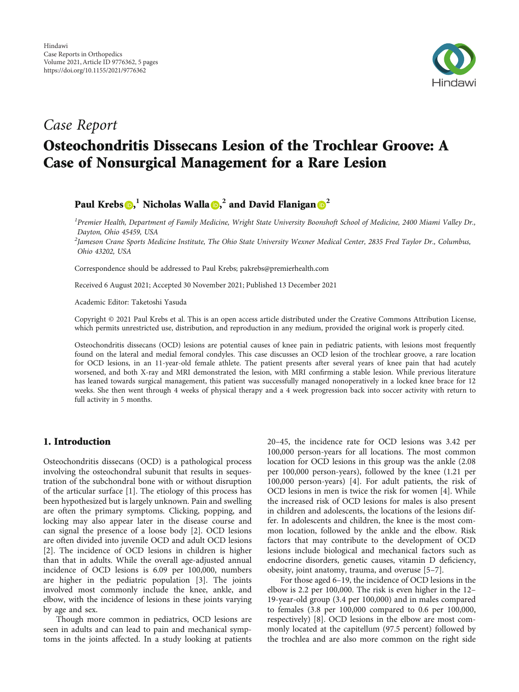

# Case Report Osteochondritis Dissecans Lesion of the Trochlear Groove: A Case of Nonsurgical Management for a Rare Lesion

Paul Krebs $\textbf{O},^1$  $\textbf{O},^1$  $\textbf{O},^1$  Nicholas Walla $\textbf{O},^2$  $\textbf{O},^2$  and David Flanigan $\textbf{O}^2$ 

<sup>1</sup> Premier Health, Department of Family Medicine, Wright State University Boonshoft School of Medicine, 2400 Miami Valley Dr., Dayton, Ohio 45459, USA

<sup>2</sup>Jameson Crane Sports Medicine Institute, The Ohio State University Wexner Medical Center, 2835 Fred Taylor Dr., Columbus, Ohio 43202, USA

Correspondence should be addressed to Paul Krebs; pakrebs@premierhealth.com

Received 6 August 2021; Accepted 30 November 2021; Published 13 December 2021

Academic Editor: Taketoshi Yasuda

Copyright © 2021 Paul Krebs et al. This is an open access article distributed under the [Creative Commons Attribution License](https://creativecommons.org/licenses/by/4.0/), which permits unrestricted use, distribution, and reproduction in any medium, provided the original work is properly cited.

Osteochondritis dissecans (OCD) lesions are potential causes of knee pain in pediatric patients, with lesions most frequently found on the lateral and medial femoral condyles. This case discusses an OCD lesion of the trochlear groove, a rare location for OCD lesions, in an 11-year-old female athlete. The patient presents after several years of knee pain that had acutely worsened, and both X-ray and MRI demonstrated the lesion, with MRI confirming a stable lesion. While previous literature has leaned towards surgical management, this patient was successfully managed nonoperatively in a locked knee brace for 12 weeks. She then went through 4 weeks of physical therapy and a 4 week progression back into soccer activity with return to full activity in 5 months.

# 1. Introduction

Osteochondritis dissecans (OCD) is a pathological process involving the osteochondral subunit that results in sequestration of the subchondral bone with or without disruption of the articular surface [[1](#page-3-0)]. The etiology of this process has been hypothesized but is largely unknown. Pain and swelling are often the primary symptoms. Clicking, popping, and locking may also appear later in the disease course and can signal the presence of a loose body [[2\]](#page-3-0). OCD lesions are often divided into juvenile OCD and adult OCD lesions [\[2](#page-3-0)]. The incidence of OCD lesions in children is higher than that in adults. While the overall age-adjusted annual incidence of OCD lesions is 6.09 per 100,000, numbers are higher in the pediatric population [[3](#page-3-0)]. The joints involved most commonly include the knee, ankle, and elbow, with the incidence of lesions in these joints varying by age and sex.

Though more common in pediatrics, OCD lesions are seen in adults and can lead to pain and mechanical symptoms in the joints affected. In a study looking at patients

20–45, the incidence rate for OCD lesions was 3.42 per 100,000 person-years for all locations. The most common location for OCD lesions in this group was the ankle (2.08 per 100,000 person-years), followed by the knee (1.21 per 100,000 person-years) [[4](#page-3-0)]. For adult patients, the risk of OCD lesions in men is twice the risk for women [\[4](#page-3-0)]. While the increased risk of OCD lesions for males is also present in children and adolescents, the locations of the lesions differ. In adolescents and children, the knee is the most common location, followed by the ankle and the elbow. Risk factors that may contribute to the development of OCD lesions include biological and mechanical factors such as endocrine disorders, genetic causes, vitamin D deficiency, obesity, joint anatomy, trauma, and overuse [[5](#page-3-0)–[7](#page-3-0)].

For those aged 6–19, the incidence of OCD lesions in the elbow is 2.2 per 100,000. The risk is even higher in the 12– 19-year-old group (3.4 per 100,000) and in males compared to females (3.8 per 100,000 compared to 0.6 per 100,000, respectively) [[8\]](#page-3-0). OCD lesions in the elbow are most commonly located at the capitellum (97.5 percent) followed by the trochlea and are also more common on the right side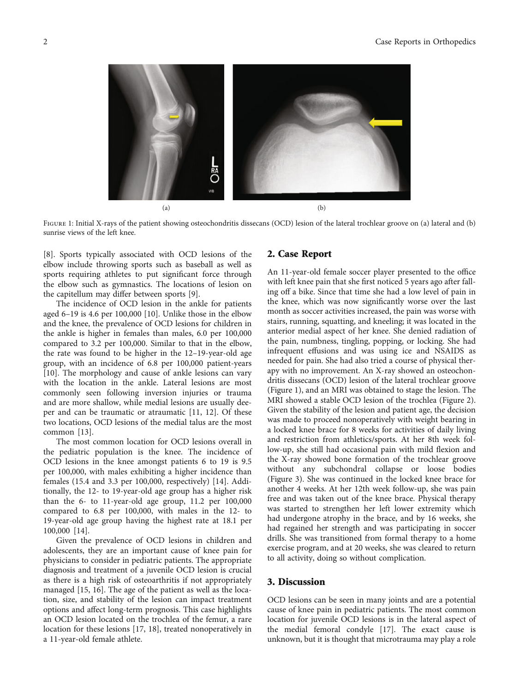

FIGURE 1: Initial X-rays of the patient showing osteochondritis dissecans (OCD) lesion of the lateral trochlear groove on (a) lateral and (b) sunrise views of the left knee.

[\[8](#page-3-0)]. Sports typically associated with OCD lesions of the elbow include throwing sports such as baseball as well as sports requiring athletes to put significant force through the elbow such as gymnastics. The locations of lesion on the capitellum may differ between sports [\[9\]](#page-3-0).

The incidence of OCD lesion in the ankle for patients aged 6–19 is 4.6 per 100,000 [[10](#page-3-0)]. Unlike those in the elbow and the knee, the prevalence of OCD lesions for children in the ankle is higher in females than males, 6.0 per 100,000 compared to 3.2 per 100,000. Similar to that in the elbow, the rate was found to be higher in the 12–19-year-old age group, with an incidence of 6.8 per 100,000 patient-years [\[10](#page-3-0)]. The morphology and cause of ankle lesions can vary with the location in the ankle. Lateral lesions are most commonly seen following inversion injuries or trauma and are more shallow, while medial lesions are usually deeper and can be traumatic or atraumatic [[11](#page-3-0), [12](#page-3-0)]. Of these two locations, OCD lesions of the medial talus are the most common [\[13\]](#page-3-0).

The most common location for OCD lesions overall in the pediatric population is the knee. The incidence of OCD lesions in the knee amongst patients 6 to 19 is 9.5 per 100,000, with males exhibiting a higher incidence than females (15.4 and 3.3 per 100,000, respectively) [\[14\]](#page-3-0). Additionally, the 12- to 19-year-old age group has a higher risk than the 6- to 11-year-old age group, 11.2 per 100,000 compared to 6.8 per 100,000, with males in the 12- to 19-year-old age group having the highest rate at 18.1 per 100,000 [\[14\]](#page-3-0).

Given the prevalence of OCD lesions in children and adolescents, they are an important cause of knee pain for physicians to consider in pediatric patients. The appropriate diagnosis and treatment of a juvenile OCD lesion is crucial as there is a high risk of osteoarthritis if not appropriately managed [\[15](#page-4-0), [16\]](#page-4-0). The age of the patient as well as the location, size, and stability of the lesion can impact treatment options and affect long-term prognosis. This case highlights an OCD lesion located on the trochlea of the femur, a rare location for these lesions [[17](#page-4-0), [18\]](#page-4-0), treated nonoperatively in a 11-year-old female athlete.

### 2. Case Report

An 11-year-old female soccer player presented to the office with left knee pain that she first noticed 5 years ago after falling off a bike. Since that time she had a low level of pain in the knee, which was now significantly worse over the last month as soccer activities increased, the pain was worse with stairs, running, squatting, and kneeling; it was located in the anterior medial aspect of her knee. She denied radiation of the pain, numbness, tingling, popping, or locking. She had infrequent effusions and was using ice and NSAIDS as needed for pain. She had also tried a course of physical therapy with no improvement. An X-ray showed an osteochondritis dissecans (OCD) lesion of the lateral trochlear groove (Figure 1), and an MRI was obtained to stage the lesion. The MRI showed a stable OCD lesion of the trochlea (Figure [2](#page-2-0)). Given the stability of the lesion and patient age, the decision was made to proceed nonoperatively with weight bearing in a locked knee brace for 8 weeks for activities of daily living and restriction from athletics/sports. At her 8th week follow-up, she still had occasional pain with mild flexion and the X-ray showed bone formation of the trochlear groove without any subchondral collapse or loose bodies (Figure [3](#page-2-0)). She was continued in the locked knee brace for another 4 weeks. At her 12th week follow-up, she was pain free and was taken out of the knee brace. Physical therapy was started to strengthen her left lower extremity which had undergone atrophy in the brace, and by 16 weeks, she had regained her strength and was participating in soccer drills. She was transitioned from formal therapy to a home exercise program, and at 20 weeks, she was cleared to return to all activity, doing so without complication.

#### 3. Discussion

OCD lesions can be seen in many joints and are a potential cause of knee pain in pediatric patients. The most common location for juvenile OCD lesions is in the lateral aspect of the medial femoral condyle [\[17\]](#page-4-0). The exact cause is unknown, but it is thought that microtrauma may play a role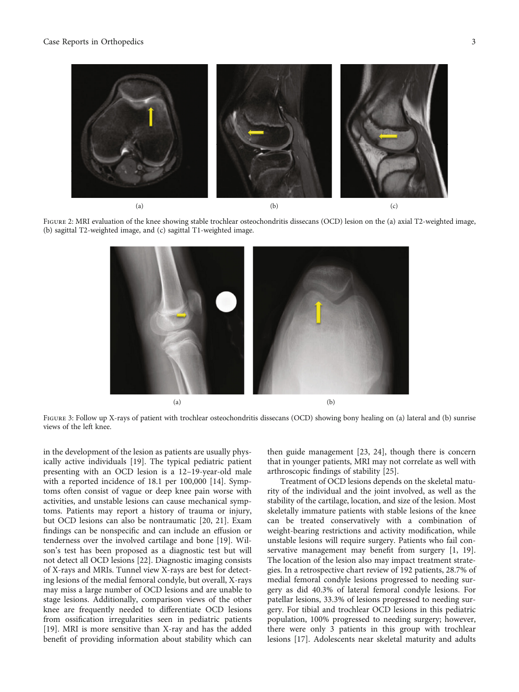<span id="page-2-0"></span>

FIGURE 2: MRI evaluation of the knee showing stable trochlear osteochondritis dissecans (OCD) lesion on the (a) axial T2-weighted image, (b) sagittal T2-weighted image, and (c) sagittal T1-weighted image.



FIGURE 3: Follow up X-rays of patient with trochlear osteochondritis dissecans (OCD) showing bony healing on (a) lateral and (b) sunrise views of the left knee.

in the development of the lesion as patients are usually physically active individuals [[19](#page-4-0)]. The typical pediatric patient presenting with an OCD lesion is a 12–19-year-old male with a reported incidence of 18.1 per 100,000 [[14](#page-3-0)]. Symptoms often consist of vague or deep knee pain worse with activities, and unstable lesions can cause mechanical symptoms. Patients may report a history of trauma or injury, but OCD lesions can also be nontraumatic [[20](#page-4-0), [21\]](#page-4-0). Exam findings can be nonspecific and can include an effusion or tenderness over the involved cartilage and bone [[19](#page-4-0)]. Wilson's test has been proposed as a diagnostic test but will not detect all OCD lesions [[22](#page-4-0)]. Diagnostic imaging consists of X-rays and MRIs. Tunnel view X-rays are best for detecting lesions of the medial femoral condyle, but overall, X-rays may miss a large number of OCD lesions and are unable to stage lesions. Additionally, comparison views of the other knee are frequently needed to differentiate OCD lesions from ossification irregularities seen in pediatric patients [\[19](#page-4-0)]. MRI is more sensitive than X-ray and has the added benefit of providing information about stability which can

then guide management [[23, 24](#page-4-0)], though there is concern that in younger patients, MRI may not correlate as well with arthroscopic findings of stability [[25](#page-4-0)].

Treatment of OCD lesions depends on the skeletal maturity of the individual and the joint involved, as well as the stability of the cartilage, location, and size of the lesion. Most skeletally immature patients with stable lesions of the knee can be treated conservatively with a combination of weight-bearing restrictions and activity modification, while unstable lesions will require surgery. Patients who fail conservative management may benefit from surgery [[1,](#page-3-0) [19](#page-4-0)]. The location of the lesion also may impact treatment strategies. In a retrospective chart review of 192 patients, 28.7% of medial femoral condyle lesions progressed to needing surgery as did 40.3% of lateral femoral condyle lesions. For patellar lesions, 33.3% of lesions progressed to needing surgery. For tibial and trochlear OCD lesions in this pediatric population, 100% progressed to needing surgery; however, there were only 3 patients in this group with trochlear lesions [\[17\]](#page-4-0). Adolescents near skeletal maturity and adults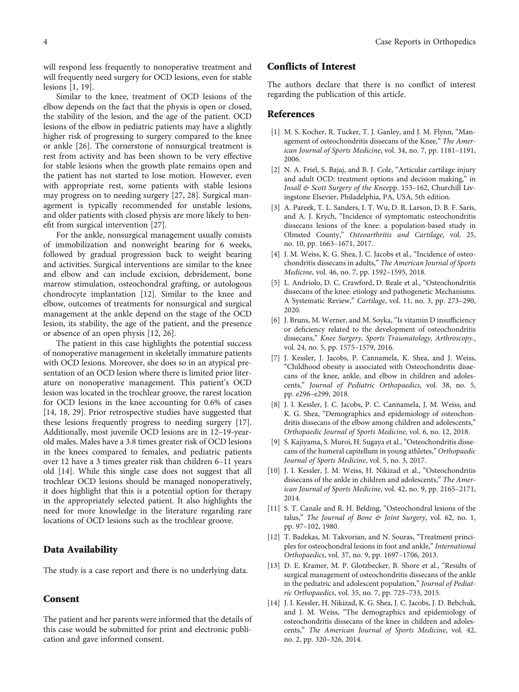<span id="page-3-0"></span>will respond less frequently to nonoperative treatment and will frequently need surgery for OCD lesions, even for stable lesions [1, [19](#page-4-0)].

Similar to the knee, treatment of OCD lesions of the elbow depends on the fact that the physis is open or closed, the stability of the lesion, and the age of the patient. OCD lesions of the elbow in pediatric patients may have a slightly higher risk of progressing to surgery compared to the knee or ankle [[26](#page-4-0)]. The cornerstone of nonsurgical treatment is rest from activity and has been shown to be very effective for stable lesions when the growth plate remains open and the patient has not started to lose motion. However, even with appropriate rest, some patients with stable lesions may progress on to needing surgery [[27](#page-4-0), [28](#page-4-0)]. Surgical management is typically recommended for unstable lesions, and older patients with closed physis are more likely to benefit from surgical intervention [[27](#page-4-0)].

For the ankle, nonsurgical management usually consists of immobilization and nonweight bearing for 6 weeks, followed by gradual progression back to weight bearing and activities. Surgical interventions are similar to the knee and elbow and can include excision, debridement, bone marrow stimulation, osteochondral grafting, or autologous chondrocyte implantation [12]. Similar to the knee and elbow, outcomes of treatments for nonsurgical and surgical management at the ankle depend on the stage of the OCD lesion, its stability, the age of the patient, and the presence or absence of an open physis [12, [26\]](#page-4-0).

The patient in this case highlights the potential success of nonoperative management in skeletally immature patients with OCD lesions. Moreover, she does so in an atypical presentation of an OCD lesion where there is limited prior literature on nonoperative management. This patient's OCD lesion was located in the trochlear groove, the rarest location for OCD lesions in the knee accounting for 0.6% of cases [14, [18](#page-4-0), [29](#page-4-0)]. Prior retrospective studies have suggested that these lesions frequently progress to needing surgery [[17](#page-4-0)]. Additionally, most juvenile OCD lesions are in 12–19-yearold males. Males have a 3.8 times greater risk of OCD lesions in the knees compared to females, and pediatric patients over 12 have a 3 times greater risk than children 6–11 years old [14]. While this single case does not suggest that all trochlear OCD lesions should be managed nonoperatively, it does highlight that this is a potential option for therapy in the appropriately selected patient. It also highlights the need for more knowledge in the literature regarding rare locations of OCD lesions such as the trochlear groove.

## Data Availability

The study is a case report and there is no underlying data.

#### Consent

The patient and her parents were informed that the details of this case would be submitted for print and electronic publication and gave informed consent.

# Conflicts of Interest

The authors declare that there is no conflict of interest regarding the publication of this article.

#### References

- [1] M. S. Kocher, R. Tucker, T. J. Ganley, and J. M. Flynn, "Management of osteochondritis dissecans of the Knee," The American Journal of Sports Medicine, vol. 34, no. 7, pp. 1181–1191, 2006.
- [2] N. A. Friel, S. Bajaj, and B. J. Cole, "Articular cartilage injury and adult OCD: treatment options and decision making," in Insall & Scott Surgery of the Kneepp. 153–162, Churchill Livingstone Elsevier, Philadelphia, PA, USA, 5th edition.
- [3] A. Pareek, T. L. Sanders, I. T. Wu, D. R. Larson, D. B. F. Saris, and A. J. Krych, "Incidence of symptomatic osteochondritis dissecans lesions of the knee: a population-based study in Olmsted County," Osteoarthritis and Cartilage, vol. 25, no. 10, pp. 1663–1671, 2017.
- [4] J. M. Weiss, K. G. Shea, J. C. Jacobs et al., "Incidence of osteochondritis dissecans in adults," The American Journal of Sports Medicine, vol. 46, no. 7, pp. 1592–1595, 2018.
- [5] L. Andriolo, D. C. Crawford, D. Reale et al., "Osteochondritis dissecans of the knee: etiology and pathogenetic Mechanisms. A Systematic Review," Cartilage, vol. 11, no. 3, pp. 273–290, 2020.
- [6] J. Bruns, M. Werner, and M. Soyka, "Is vitamin D insufficiency or deficiency related to the development of osteochondritis dissecans," Knee Surgery, Sports Traumatology, Arthroscopy., vol. 24, no. 5, pp. 1575–1579, 2016.
- [7] J. Kessler, J. Jacobs, P. Cannamela, K. Shea, and J. Weiss, "Childhood obesity is associated with Osteochondritis dissecans of the knee, ankle, and elbow in children and adolescents," Journal of Pediatric Orthopaedics, vol. 38, no. 5, pp. e296–e299, 2018.
- [8] J. I. Kessler, J. C. Jacobs, P. C. Cannamela, J. M. Weiss, and K. G. Shea, "Demographics and epidemiology of osteochondritis dissecans of the elbow among children and adolescents," Orthopaedic Journal of Sports Medicine, vol. 6, no. 12, 2018.
- [9] S. Kajiyama, S. Muroi, H. Sugaya et al., "Osteochondritis dissecans of the humeral capitellum in young athletes," Orthopaedic Journal of Sports Medicine, vol. 5, no. 3, 2017.
- [10] J. I. Kessler, J. M. Weiss, H. Nikizad et al., "Osteochondritis dissecans of the ankle in children and adolescents," The American Journal of Sports Medicine, vol. 42, no. 9, pp. 2165–2171, 2014.
- [11] S. T. Canale and R. H. Belding, "Osteochondral lesions of the talus," The Journal of Bone & Joint Surgery, vol. 62, no. 1, pp. 97–102, 1980.
- [12] T. Badekas, M. Takvorian, and N. Souras, "Treatment principles for osteochondral lesions in foot and ankle," International Orthopaedics, vol. 37, no. 9, pp. 1697–1706, 2013.
- [13] D. E. Kramer, M. P. Glotzbecker, B. Shore et al., "Results of surgical management of osteochondritis dissecans of the ankle in the pediatric and adolescent population," Journal of Pediatric Orthopaedics, vol. 35, no. 7, pp. 725–733, 2015.
- [14] J. I. Kessler, H. Nikizad, K. G. Shea, J. C. Jacobs, J. D. Bebchuk, and J. M. Weiss, "The demographics and epidemiology of osteochondritis dissecans of the knee in children and adolescents," The American Journal of Sports Medicine, vol. 42, no. 2, pp. 320–326, 2014.